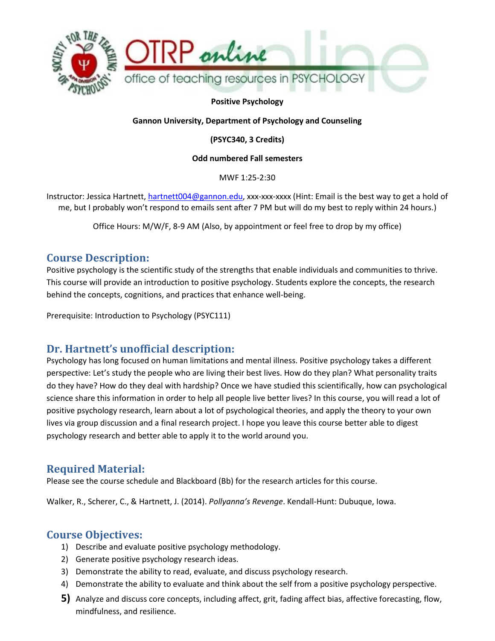

**Positive Psychology** 

**Gannon University, Department of Psychology and Counseling**

**(PSYC340, 3 Credits)**

**Odd numbered Fall semesters**

MWF 1:25-2:30

Instructor: Jessica Hartnett, [hartnett004@gannon.edu,](mailto:hartnett004@gannon.edu) xxx-xxx-xxxx (Hint: Email is the best way to get a hold of me, but I probably won't respond to emails sent after 7 PM but will do my best to reply within 24 hours.)

Office Hours: M/W/F, 8-9 AM (Also, by appointment or feel free to drop by my office)

### **Course Description:**

Positive psychology is the scientific study of the strengths that enable individuals and communities to thrive. This course will provide an introduction to positive psychology. Students explore the concepts, the research behind the concepts, cognitions, and practices that enhance well-being.

Prerequisite: Introduction to Psychology (PSYC111)

## **Dr. Hartnett's unofficial description:**

Psychology has long focused on human limitations and mental illness. Positive psychology takes a different perspective: Let's study the people who are living their best lives. How do they plan? What personality traits do they have? How do they deal with hardship? Once we have studied this scientifically, how can psychological science share this information in order to help all people live better lives? In this course, you will read a lot of positive psychology research, learn about a lot of psychological theories, and apply the theory to your own lives via group discussion and a final research project. I hope you leave this course better able to digest psychology research and better able to apply it to the world around you.

## **Required Material:**

Please see the course schedule and Blackboard (Bb) for the research articles for this course.

Walker, R., Scherer, C., & Hartnett, J. (2014). *Pollyanna's Revenge*. Kendall-Hunt: Dubuque, Iowa.

### **Course Objectives:**

- 1) Describe and evaluate positive psychology methodology.
- 2) Generate positive psychology research ideas.
- 3) Demonstrate the ability to read, evaluate, and discuss psychology research.
- 4) Demonstrate the ability to evaluate and think about the self from a positive psychology perspective.
- **5)** Analyze and discuss core concepts, including affect, grit, fading affect bias, affective forecasting, flow, mindfulness, and resilience.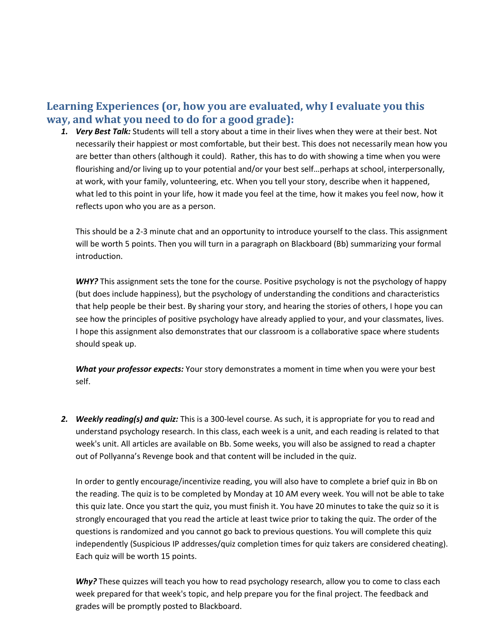## **Learning Experiences (or, how you are evaluated, why I evaluate you this way, and what you need to do for a good grade):**

*1. Very Best Talk:* Students will tell a story about a time in their lives when they were at their best. Not necessarily their happiest or most comfortable, but their best. This does not necessarily mean how you are better than others (although it could). Rather, this has to do with showing a time when you were flourishing and/or living up to your potential and/or your best self…perhaps at school, interpersonally, at work, with your family, volunteering, etc. When you tell your story, describe when it happened, what led to this point in your life, how it made you feel at the time, how it makes you feel now, how it reflects upon who you are as a person.

This should be a 2-3 minute chat and an opportunity to introduce yourself to the class. This assignment will be worth 5 points. Then you will turn in a paragraph on Blackboard (Bb) summarizing your formal introduction.

*WHY?* This assignment sets the tone for the course. Positive psychology is not the psychology of happy (but does include happiness), but the psychology of understanding the conditions and characteristics that help people be their best. By sharing your story, and hearing the stories of others, I hope you can see how the principles of positive psychology have already applied to your, and your classmates, lives. I hope this assignment also demonstrates that our classroom is a collaborative space where students should speak up.

*What your professor expects:* Your story demonstrates a moment in time when you were your best self.

*2. Weekly reading(s) and quiz:* This is a 300-level course. As such, it is appropriate for you to read and understand psychology research. In this class, each week is a unit, and each reading is related to that week's unit. All articles are available on Bb. Some weeks, you will also be assigned to read a chapter out of Pollyanna's Revenge book and that content will be included in the quiz.

In order to gently encourage/incentivize reading, you will also have to complete a brief quiz in Bb on the reading. The quiz is to be completed by Monday at 10 AM every week. You will not be able to take this quiz late. Once you start the quiz, you must finish it. You have 20 minutes to take the quiz so it is strongly encouraged that you read the article at least twice prior to taking the quiz. The order of the questions is randomized and you cannot go back to previous questions. You will complete this quiz independently (Suspicious IP addresses/quiz completion times for quiz takers are considered cheating). Each quiz will be worth 15 points.

*Why?* These quizzes will teach you how to read psychology research, allow you to come to class each week prepared for that week's topic, and help prepare you for the final project. The feedback and grades will be promptly posted to Blackboard.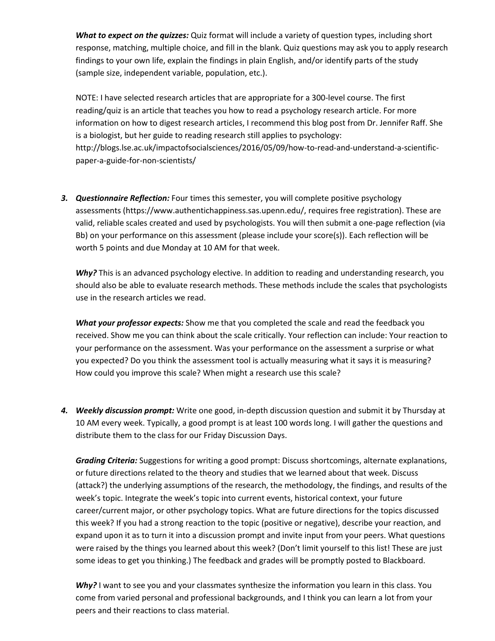*What to expect on the quizzes:* Quiz format will include a variety of question types, including short response, matching, multiple choice, and fill in the blank. Quiz questions may ask you to apply research findings to your own life, explain the findings in plain English, and/or identify parts of the study (sample size, independent variable, population, etc.).

NOTE: I have selected research articles that are appropriate for a 300-level course. The first reading/quiz is an article that teaches you how to read a psychology research article. For more information on how to digest research articles, I recommend this blog post from Dr. Jennifer Raff. She is a biologist, but her guide to reading research still applies to psychology: http://blogs.lse.ac.uk/impactofsocialsciences/2016/05/09/how-to-read-and-understand-a-scientificpaper-a-guide-for-non-scientists/

*3. Questionnaire Reflection:* Four times this semester, you will complete positive psychology assessments (https://www.authentichappiness.sas.upenn.edu/, requires free registration). These are valid, reliable scales created and used by psychologists. You will then submit a one-page reflection (via Bb) on your performance on this assessment (please include your score(s)). Each reflection will be worth 5 points and due Monday at 10 AM for that week.

*Why?* This is an advanced psychology elective. In addition to reading and understanding research, you should also be able to evaluate research methods. These methods include the scales that psychologists use in the research articles we read.

*What your professor expects:* Show me that you completed the scale and read the feedback you received. Show me you can think about the scale critically. Your reflection can include: Your reaction to your performance on the assessment. Was your performance on the assessment a surprise or what you expected? Do you think the assessment tool is actually measuring what it says it is measuring? How could you improve this scale? When might a research use this scale?

*4. Weekly discussion prompt:* Write one good, in-depth discussion question and submit it by Thursday at 10 AM every week. Typically, a good prompt is at least 100 words long. I will gather the questions and distribute them to the class for our Friday Discussion Days.

*Grading Criteria:* Suggestions for writing a good prompt: Discuss shortcomings, alternate explanations, or future directions related to the theory and studies that we learned about that week. Discuss (attack?) the underlying assumptions of the research, the methodology, the findings, and results of the week's topic. Integrate the week's topic into current events, historical context, your future career/current major, or other psychology topics. What are future directions for the topics discussed this week? If you had a strong reaction to the topic (positive or negative), describe your reaction, and expand upon it as to turn it into a discussion prompt and invite input from your peers. What questions were raised by the things you learned about this week? (Don't limit yourself to this list! These are just some ideas to get you thinking.) The feedback and grades will be promptly posted to Blackboard.

*Why?* I want to see you and your classmates synthesize the information you learn in this class. You come from varied personal and professional backgrounds, and I think you can learn a lot from your peers and their reactions to class material.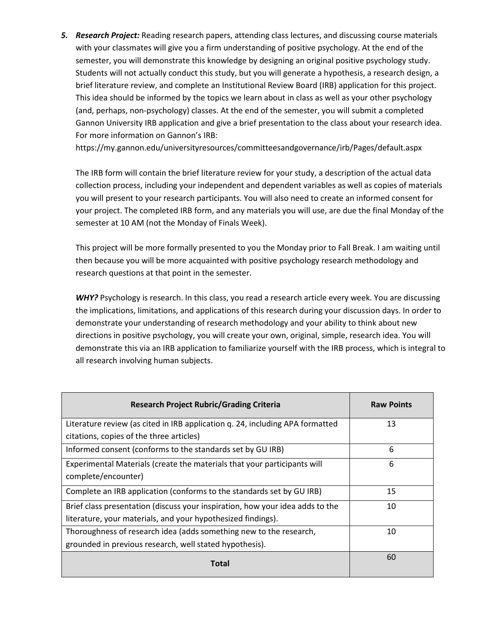*5. Research Project:* Reading research papers, attending class lectures, and discussing course materials with your classmates will give you a firm understanding of positive psychology. At the end of the semester, you will demonstrate this knowledge by designing an original positive psychology study. Students will not actually conduct this study, but you will generate a hypothesis, a research design, a brief literature review, and complete an Institutional Review Board (IRB) application for this project. This idea should be informed by the topics we learn about in class as well as your other psychology (and, perhaps, non-psychology) classes. At the end of the semester, you will submit a completed Gannon University IRB application and give a brief presentation to the class about your research idea. For more information on Gannon's IRB:

https://my.gannon.edu/universityresources/committeesandgovernance/irb/Pages/default.aspx

The IRB form will contain the brief literature review for your study, a description of the actual data collection process, including your independent and dependent variables as well as copies of materials you will present to your research participants. You will also need to create an informed consent for your project. The completed IRB form, and any materials you will use, are due the final Monday of the semester at 10 AM (not the Monday of Finals Week).

This project will be more formally presented to you the Monday prior to Fall Break. I am waiting until then because you will be more acquainted with positive psychology research methodology and research questions at that point in the semester.

WHY? Psychology is research. In this class, you read a research article every week. You are discussing the implications, limitations, and applications of this research during your discussion days. In order to demonstrate your understanding of research methodology and your ability to think about new directions in positive psychology, you will create your own, original, simple, research idea. You will demonstrate this via an IRB application to familiarize yourself with the IRB process, which is integral to all research involving human subjects.

| <b>Research Project Rubric/Grading Criteria</b>                               | <b>Raw Points</b> |
|-------------------------------------------------------------------------------|-------------------|
| Literature review (as cited in IRB application q. 24, including APA formatted | 13                |
| citations, copies of the three articles)                                      |                   |
| Informed consent (conforms to the standards set by GU IRB)                    | 6                 |
| Experimental Materials (create the materials that your participants will      | 6                 |
| complete/encounter)                                                           |                   |
| Complete an IRB application (conforms to the standards set by GU IRB)         | 15                |
| Brief class presentation (discuss your inspiration, how your idea adds to the | 10                |
| literature, your materials, and your hypothesized findings).                  |                   |
| Thoroughness of research idea (adds something new to the research,            | 10                |
| grounded in previous research, well stated hypothesis).                       |                   |
| Total                                                                         | 60                |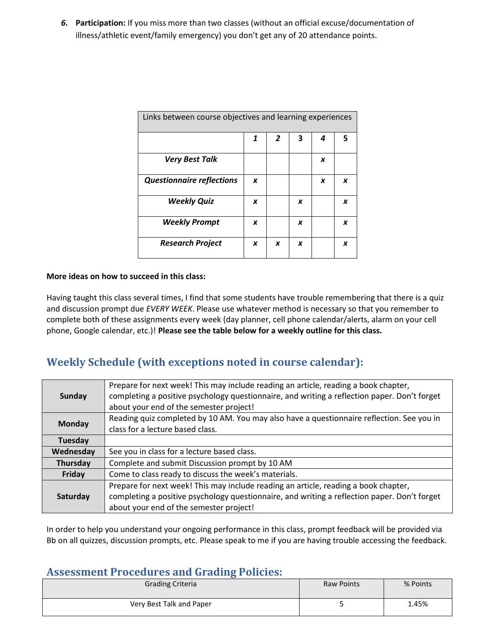*6.* **Participation:** If you miss more than two classes (without an official excuse/documentation of illness/athletic event/family emergency) you don't get any of 20 attendance points.

| Links between course objectives and learning experiences |   |   |   |   |   |
|----------------------------------------------------------|---|---|---|---|---|
|                                                          | 1 | 2 | 3 | 4 | 5 |
| <b>Very Best Talk</b>                                    |   |   |   | x |   |
| <b>Questionnaire reflections</b>                         | X |   |   | x | X |
| <b>Weekly Quiz</b>                                       | x |   | X |   | X |
| <b>Weekly Prompt</b>                                     | x |   | x |   | X |
| <b>Research Project</b>                                  | x | X | x |   | X |

#### **More ideas on how to succeed in this class:**

Having taught this class several times, I find that some students have trouble remembering that there is a quiz and discussion prompt due *EVERY WEEK*. Please use whatever method is necessary so that you remember to complete both of these assignments every week (day planner, cell phone calendar/alerts, alarm on your cell phone, Google calendar, etc.)! **Please see the table below for a weekly outline for this class.**

## **Weekly Schedule (with exceptions noted in course calendar):**

| Sunday                                                   | Prepare for next week! This may include reading an article, reading a book chapter,<br>completing a positive psychology questionnaire, and writing a reflection paper. Don't forget<br>about your end of the semester project! |
|----------------------------------------------------------|--------------------------------------------------------------------------------------------------------------------------------------------------------------------------------------------------------------------------------|
| <b>Monday</b>                                            | Reading quiz completed by 10 AM. You may also have a questionnaire reflection. See you in<br>class for a lecture based class.                                                                                                  |
| Tuesday                                                  |                                                                                                                                                                                                                                |
| See you in class for a lecture based class.<br>Wednesday |                                                                                                                                                                                                                                |
| Thursday                                                 | Complete and submit Discussion prompt by 10 AM                                                                                                                                                                                 |
| Friday                                                   | Come to class ready to discuss the week's materials.                                                                                                                                                                           |
| Saturday                                                 | Prepare for next week! This may include reading an article, reading a book chapter,<br>completing a positive psychology questionnaire, and writing a reflection paper. Don't forget<br>about your end of the semester project! |

In order to help you understand your ongoing performance in this class, prompt feedback will be provided via Bb on all quizzes, discussion prompts, etc. Please speak to me if you are having trouble accessing the feedback.

#### **Assessment Procedures and Grading Policies:**

| <b>Grading Criteria</b>  | <b>Raw Points</b> | % Points |
|--------------------------|-------------------|----------|
| Very Best Talk and Paper | ٠                 | 1.45%    |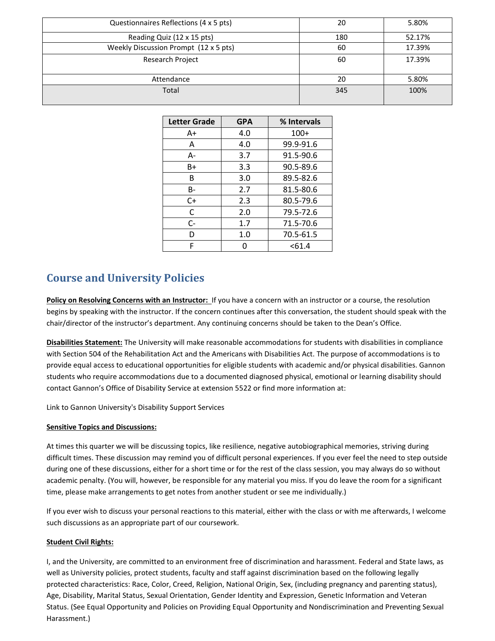| Questionnaires Reflections (4 x 5 pts) | 20  | 5.80%  |
|----------------------------------------|-----|--------|
| Reading Quiz (12 x 15 pts)             | 180 | 52.17% |
| Weekly Discussion Prompt (12 x 5 pts)  | 60  | 17.39% |
| Research Project                       | 60  | 17.39% |
| Attendance                             | 20  | 5.80%  |
| Total                                  | 345 | 100%   |

| <b>Letter Grade</b> | <b>GPA</b> | % Intervals |
|---------------------|------------|-------------|
| A+                  | 4.0        | $100+$      |
| A                   | 4.0        | 99.9-91.6   |
| А-                  | 3.7        | 91.5-90.6   |
| B+                  | 3.3        | 90.5-89.6   |
| B                   | 3.0        | 89.5-82.6   |
| B-                  | 2.7        | 81.5-80.6   |
| $C+$                | 2.3        | 80.5-79.6   |
| C                   | 2.0        | 79.5-72.6   |
| $C -$               | 1.7        | 71.5-70.6   |
| D                   | 1.0        | 70.5-61.5   |
| F                   | O          | < 61.4      |

# **Course and University Policies**

**Policy on Resolving Concerns with an Instructor:** If you have a concern with an instructor or a course, the resolution begins by speaking with the instructor. If the concern continues after this conversation, the student should speak with the chair/director of the instructor's department. Any continuing concerns should be taken to the Dean's Office.

**Disabilities Statement:** The University will make reasonable accommodations for students with disabilities in compliance with Section 504 of the Rehabilitation Act and the Americans with Disabilities Act. The purpose of accommodations is to provide equal access to educational opportunities for eligible students with academic and/or physical disabilities. Gannon students who require accommodations due to a documented diagnosed physical, emotional or learning disability should contact Gannon's Office of Disability Service at extension 5522 or find more information at:

[Link to Gannon University's Disability Support Services](https://mygannon.edu/studentresources/studentsuccesscenter/disabilitysupportservices/Page/default.aspx)

#### **Sensitive Topics and Discussions:**

At times this quarter we will be discussing topics, like resilience, negative autobiographical memories, striving during difficult times. These discussion may remind you of difficult personal experiences. If you ever feel the need to step outside during one of these discussions, either for a short time or for the rest of the class session, you may always do so without academic penalty. (You will, however, be responsible for any material you miss. If you do leave the room for a significant time, please make arrangements to get notes from another student or see me individually.)

If you ever wish to discuss your personal reactions to this material, either with the class or with me afterwards, I welcome such discussions as an appropriate part of our coursework.

#### **Student Civil Rights:**

I, and the University, are committed to an environment free of discrimination and harassment. Federal and State laws, as well as University policies, protect students, faculty and staff against discrimination based on the following legally protected characteristics: Race, Color, Creed, Religion, National Origin, Sex, (including pregnancy and parenting status), Age, Disability, Marital Status, Sexual Orientation, Gender Identity and Expression, Genetic Information and Veteran Status. (See Equal Opportunity and Policies on Providing Equal Opportunity and Nondiscrimination and Preventing Sexual Harassment.)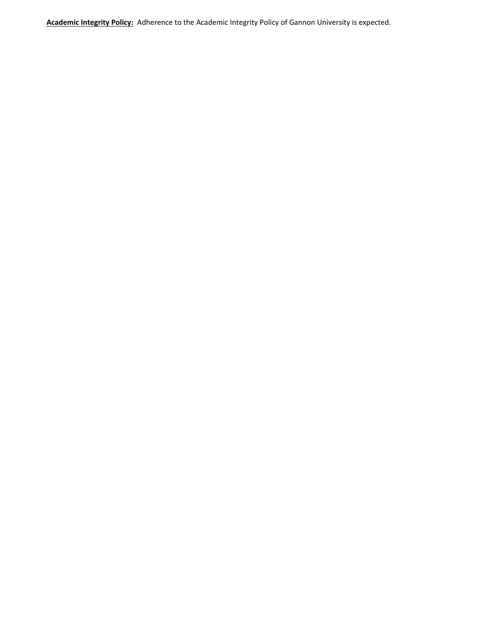**Academic Integrity Policy:** Adherence to the Academic Integrity Policy of Gannon University is expected.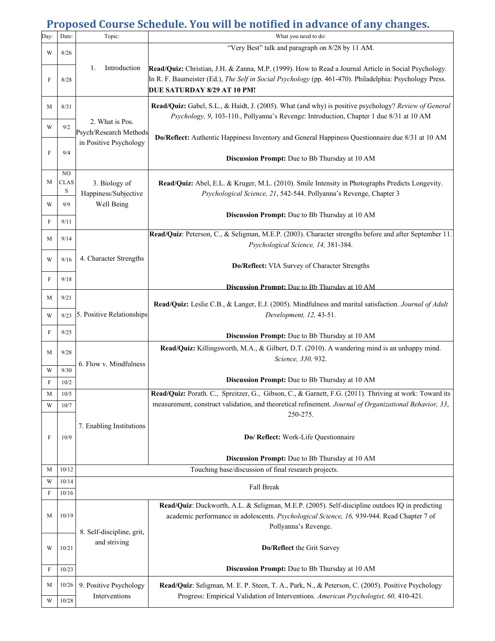# **Proposed Course Schedule. You will be notified in advance of any changes.**

| Day:        | Date:                              | Topic:                                    | What you need to do:                                                                                                                                                                                                                           |
|-------------|------------------------------------|-------------------------------------------|------------------------------------------------------------------------------------------------------------------------------------------------------------------------------------------------------------------------------------------------|
| W           | 8/26                               |                                           | "Very Best" talk and paragraph on 8/28 by 11 AM.                                                                                                                                                                                               |
| F           | 8/28                               | Introduction<br>1.                        | Read/Quiz: Christian, J.H. & Zanna, M.P. (1999). How to Read a Journal Article in Social Psychology.<br>In R. F. Baumeister (Ed.), The Self in Social Psychology (pp. 461-470). Philadelphia: Psychology Press.<br>DUE SATURDAY 8/29 AT 10 PM! |
| M           | 8/31                               |                                           | Read/Quiz: Gabel, S.L., & Haidt, J. (2005). What (and why) is positive psychology? Review of General<br>Psychology, 9, 103-110., Pollyanna's Revenge: Introduction, Chapter 1 due 8/31 at 10 AM                                                |
| W           | 9/2                                | 2. What is Pos.<br>Psych/Research Methods | Do/Reflect: Authentic Happiness Inventory and General Happiness Questionnaire due 8/31 at 10 AM                                                                                                                                                |
| F           | 9/4                                | in Positive Psychology                    | <b>Discussion Prompt:</b> Due to Bb Thursday at 10 AM                                                                                                                                                                                          |
| М           | N <sub>O</sub><br><b>CLAS</b><br>S | 3. Biology of<br>Happiness/Subjective     | Read/Quiz: Abel, E.L. & Kruger, M.L. (2010). Smile Intensity in Photographs Predicts Longevity.<br>Psychological Science, 21, 542-544. Pollyanna's Revenge, Chapter 3                                                                          |
| W           | 9/9                                | Well Being                                |                                                                                                                                                                                                                                                |
| F           | 9/11                               |                                           | <b>Discussion Prompt:</b> Due to Bb Thursday at 10 AM                                                                                                                                                                                          |
|             |                                    |                                           | Read/Quiz: Peterson, C., & Seligman, M.E.P. (2003). Character strengths before and after September 11.                                                                                                                                         |
| М           | 9/14                               |                                           | Psychological Science, 14, 381-384.                                                                                                                                                                                                            |
| W           | 9/16                               | 4. Character Strengths                    | Do/Reflect: VIA Survey of Character Strengths                                                                                                                                                                                                  |
| F           | 9/18                               |                                           | <b>Discussion Prompt:</b> Due to Bb Thursday at 10 AM                                                                                                                                                                                          |
| М           | 9/21                               |                                           | Read/Quiz: Leslie C.B., & Langer, E.J. (2005). Mindfulness and marital satisfaction. Journal of Adult                                                                                                                                          |
| W           | 9/23                               | 5. Positive Relationships                 | Development, 12, 43-51.                                                                                                                                                                                                                        |
| F           | 9/25                               |                                           | <b>Discussion Prompt:</b> Due to Bb Thursday at 10 AM                                                                                                                                                                                          |
| М           | 9/28                               | 6. Flow v. Mindfulness                    | Read/Quiz: Killingsworth, M.A., & Gilbert, D.T. (2010). A wandering mind is an unhappy mind.<br>Science, 330, 932.                                                                                                                             |
| W           | 9/30                               |                                           | Discussion Prompt: Due to Bb Thursday at 10 AM                                                                                                                                                                                                 |
| F           | 10/2                               |                                           |                                                                                                                                                                                                                                                |
| М           | $10/5$                             |                                           | Read/Quiz: Porath. C., Spreitzer, G., Gibson, C., & Garnett, F.G. (2011). Thriving at work: Toward its<br>measurement, construct validation, and theoretical refinement. Journal of Organizational Behavior, 33,                               |
| W           | 10/7                               |                                           | 250-275.                                                                                                                                                                                                                                       |
| F           | 10/9                               | 7. Enabling Institutions                  | Do/ Reflect: Work-Life Questionnaire                                                                                                                                                                                                           |
|             |                                    |                                           | Discussion Prompt: Due to Bb Thursday at 10 AM                                                                                                                                                                                                 |
| М           | 10/12                              |                                           | Touching base/discussion of final research projects.                                                                                                                                                                                           |
| W           | 10/14                              |                                           | Fall Break                                                                                                                                                                                                                                     |
| $\mathbf F$ | 10/16                              |                                           |                                                                                                                                                                                                                                                |
| М           | 10/19                              |                                           | Read/Quiz: Duckworth, A.L. & Seligman, M.E.P. (2005). Self-discipline outdoes IQ in predicting<br>academic performance in adolescents. Psychological Science, 16, 939-944. Read Chapter 7 of<br>Pollyanna's Revenge.                           |
| W           | 10/21                              | 8. Self-discipline, grit,<br>and striving | Do/Reflect the Grit Survey                                                                                                                                                                                                                     |
| F           | 10/23                              |                                           | Discussion Prompt: Due to Bb Thursday at 10 AM                                                                                                                                                                                                 |
| М           | 10/26                              | 9. Positive Psychology                    | Read/Quiz: Seligman, M. E. P. Steen, T. A., Park, N., & Peterson, C. (2005). Positive Psychology                                                                                                                                               |
| W           | 10/28                              | Interventions                             | Progress: Empirical Validation of Interventions. American Psychologist, 60, 410-421.                                                                                                                                                           |